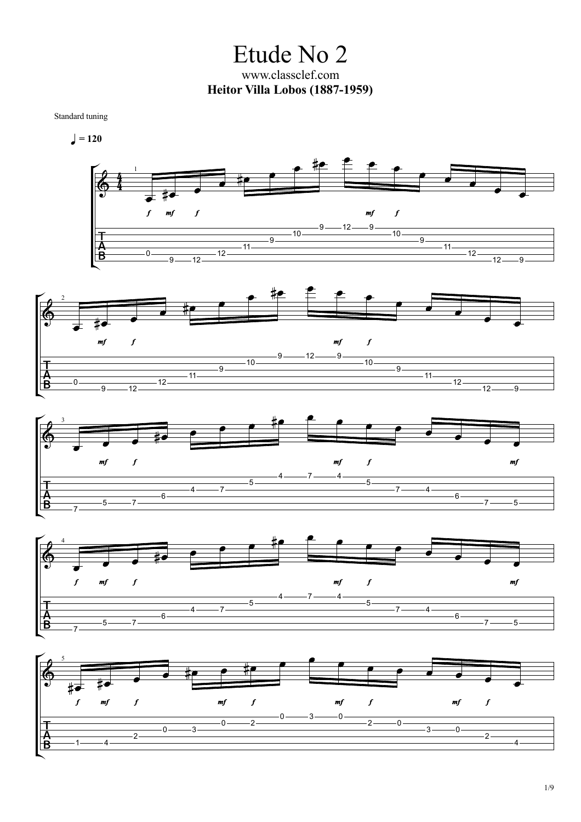Etude No 2 www.classclef.com **Heitor Villa Lobos (1887-1959)**

Standard tuning











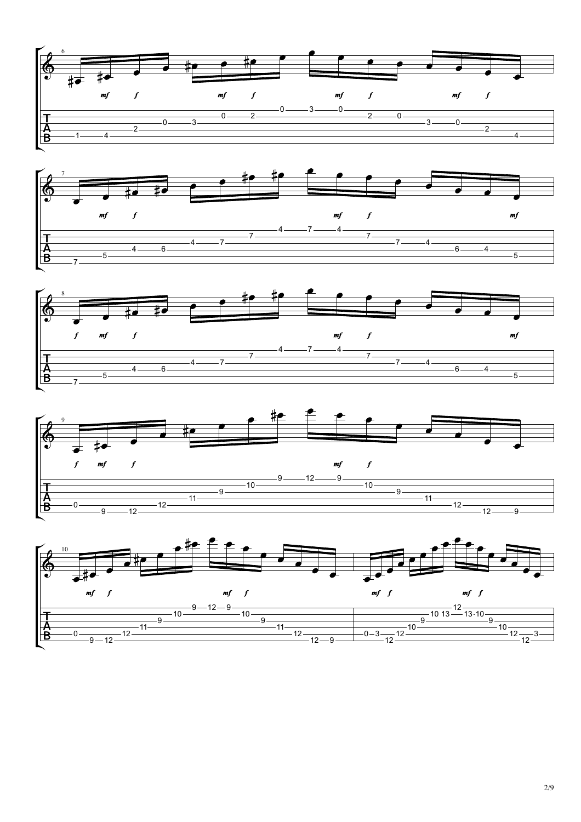









2/9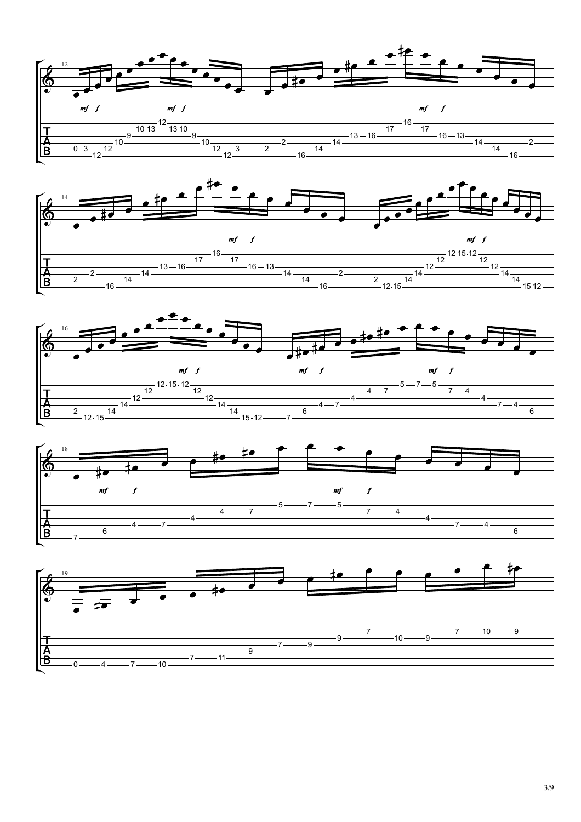







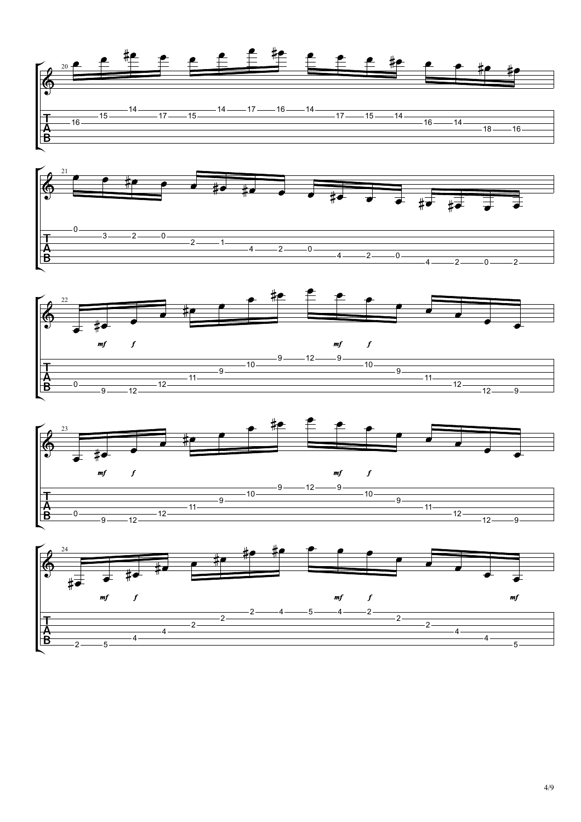







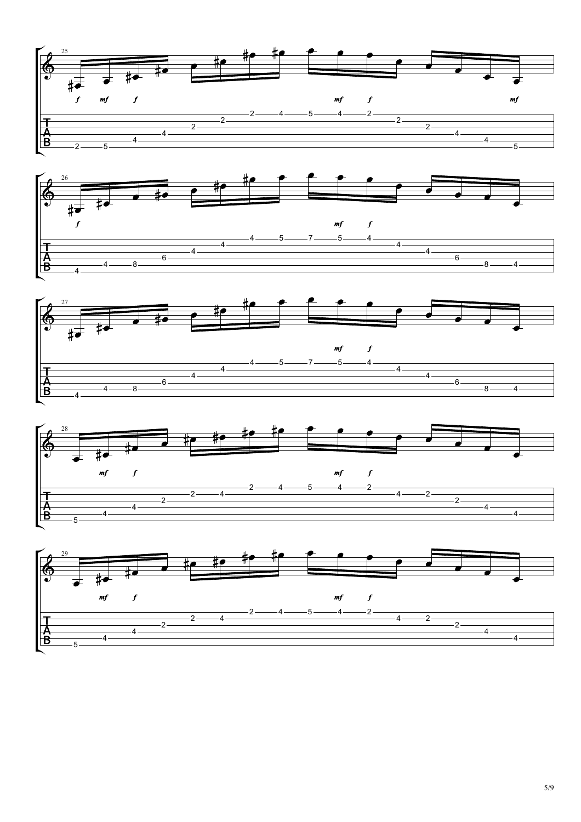







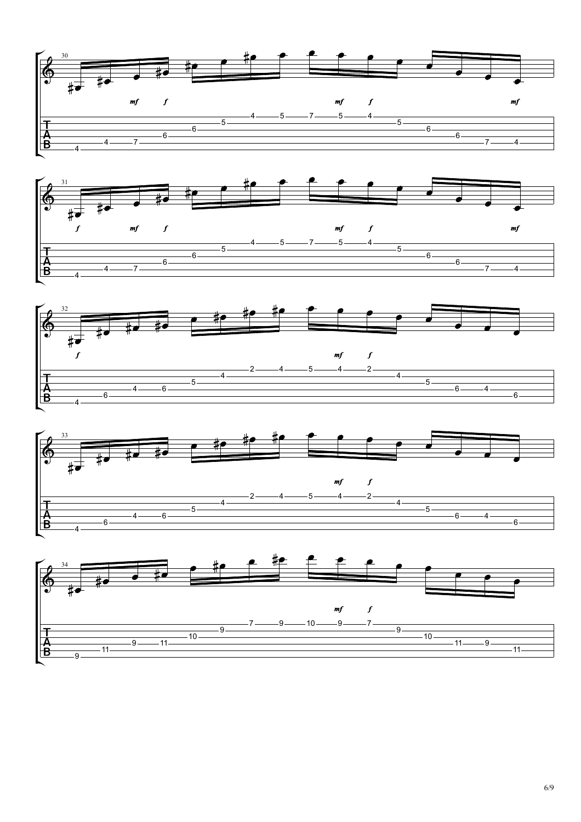







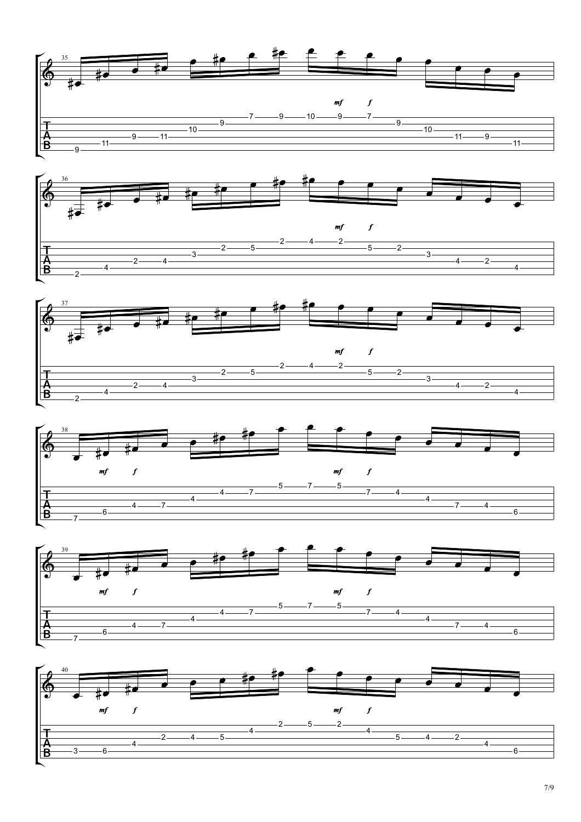









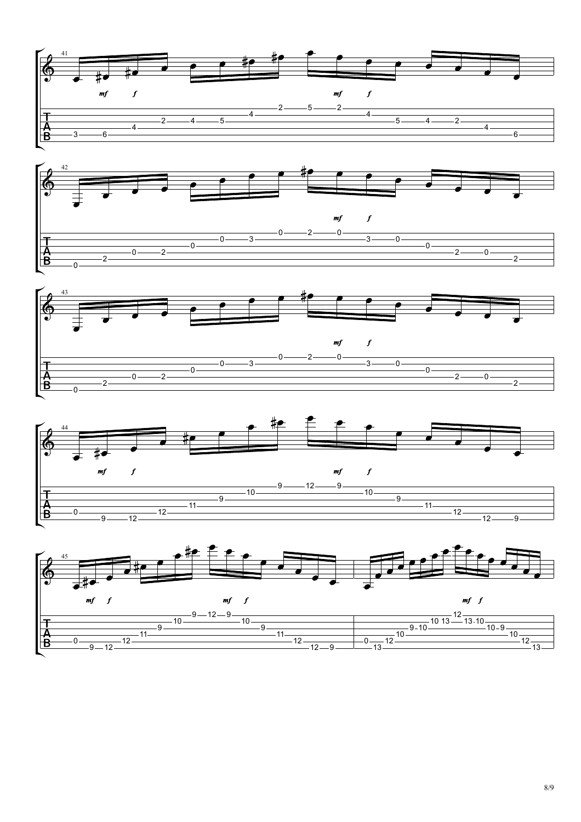